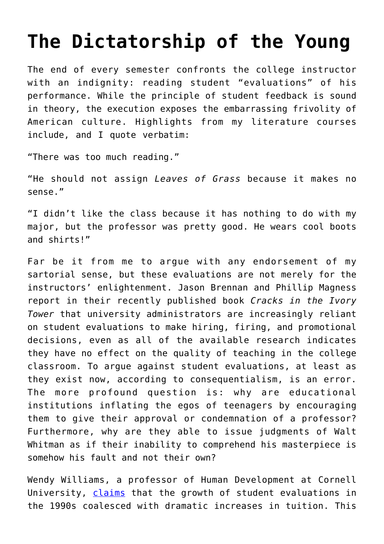## **[The Dictatorship of the Young](https://intellectualtakeout.org/2019/05/the-dictatorship-of-the-young/)**

The end of every semester confronts the college instructor with an indignity: reading student "evaluations" of his performance. While the principle of student feedback is sound in theory, the execution exposes the embarrassing frivolity of American culture. Highlights from my literature courses include, and I quote verbatim:

"There was too much reading."

"He should not assign *Leaves of Grass* because it makes no sense."

"I didn't like the class because it has nothing to do with my major, but the professor was pretty good. He wears cool boots and shirts!"

Far be it from me to argue with any endorsement of my sartorial sense, but these evaluations are not merely for the instructors' enlightenment. Jason Brennan and Phillip Magness report in their recently published book *Cracks in the Ivory Tower* that university administrators are increasingly reliant on student evaluations to make hiring, firing, and promotional decisions, even as all of the available research indicates they have no effect on the quality of teaching in the college classroom. To argue against student evaluations, at least as they exist now, according to consequentialism, is an error. The more profound question is: why are educational institutions inflating the egos of teenagers by encouraging them to give their approval or condemnation of a professor? Furthermore, why are they able to issue judgments of Walt Whitman as if their inability to comprehend his masterpiece is somehow his fault and not their own?

Wendy Williams, a professor of Human Development at Cornell University, [claims](https://www.the-scientist.com/profession/student-evaluations-widespread-and-controversial-57019) that the growth of student evaluations in the 1990s coalesced with dramatic increases in tuition. This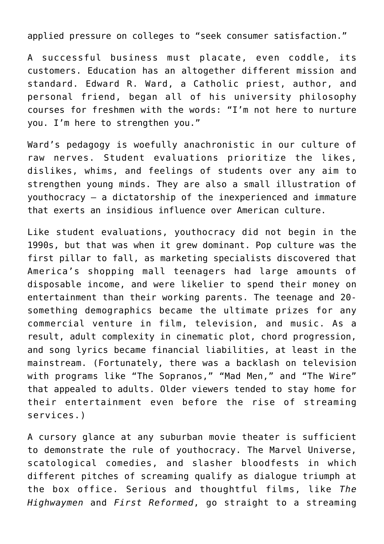applied pressure on colleges to "seek consumer satisfaction."

A successful business must placate, even coddle, its customers. Education has an altogether different mission and standard. Edward R. Ward, a Catholic priest, author, and personal friend, began all of his university philosophy courses for freshmen with the words: "I'm not here to nurture you. I'm here to strengthen you."

Ward's pedagogy is woefully anachronistic in our culture of raw nerves. Student evaluations prioritize the likes, dislikes, whims, and feelings of students over any aim to strengthen young minds. They are also a small illustration of youthocracy – a dictatorship of the inexperienced and immature that exerts an insidious influence over American culture.

Like student evaluations, youthocracy did not begin in the 1990s, but that was when it grew dominant. Pop culture was the first pillar to fall, as marketing specialists discovered that America's shopping mall teenagers had large amounts of disposable income, and were likelier to spend their money on entertainment than their working parents. The teenage and 20 something demographics became the ultimate prizes for any commercial venture in film, television, and music. As a result, adult complexity in cinematic plot, chord progression, and song lyrics became financial liabilities, at least in the mainstream. (Fortunately, there was a backlash on television with programs like "The Sopranos," "Mad Men," and "The Wire" that appealed to adults. Older viewers tended to stay home for their entertainment even before the rise of streaming services.)

A cursory glance at any suburban movie theater is sufficient to demonstrate the rule of youthocracy. The Marvel Universe, scatological comedies, and slasher bloodfests in which different pitches of screaming qualify as dialogue triumph at the box office. Serious and thoughtful films, like *The Highwaymen* and *First Reformed*, go straight to a streaming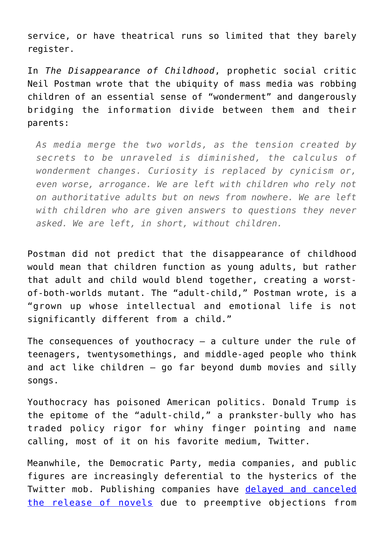service, or have theatrical runs so limited that they barely register.

In *The Disappearance of Childhood*, prophetic social critic Neil Postman wrote that the ubiquity of mass media was robbing children of an essential sense of "wonderment" and dangerously bridging the information divide between them and their parents:

*As media merge the two worlds, as the tension created by secrets to be unraveled is diminished, the calculus of wonderment changes. Curiosity is replaced by cynicism or, even worse, arrogance. We are left with children who rely not on authoritative adults but on news from nowhere. We are left with children who are given answers to questions they never asked. We are left, in short, without children.*

Postman did not predict that the disappearance of childhood would mean that children function as young adults, but rather that adult and child would blend together, creating a worstof-both-worlds mutant. The "adult-child," Postman wrote, is a "grown up whose intellectual and emotional life is not significantly different from a child."

The consequences of youthocracy  $-$  a culture under the rule of teenagers, twentysomethings, and middle-aged people who think and act like children – go far beyond dumb movies and silly songs.

Youthocracy has poisoned American politics. Donald Trump is the epitome of the "adult-child," a prankster-bully who has traded policy rigor for whiny finger pointing and name calling, most of it on his favorite medium, Twitter.

Meanwhile, the Democratic Party, media companies, and public figures are increasingly deferential to the hysterics of the Twitter mob. Publishing companies have [delayed and canceled](https://www.newyorker.com/books/under-review/in-ya-where-is-the-line-between-criticism-and-cancel-culture) [the release of novels](https://www.newyorker.com/books/under-review/in-ya-where-is-the-line-between-criticism-and-cancel-culture) due to preemptive objections from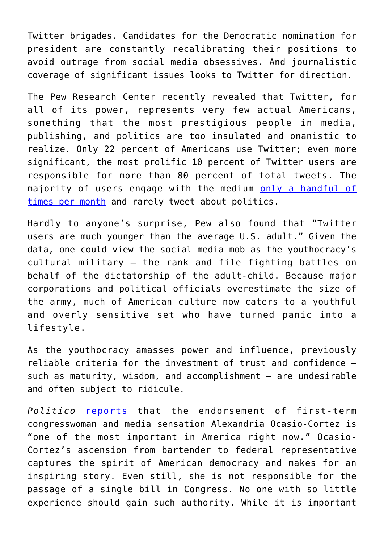Twitter brigades. Candidates for the Democratic nomination for president are constantly recalibrating their positions to avoid outrage from social media obsessives. And journalistic coverage of significant issues looks to Twitter for direction.

The Pew Research Center recently revealed that Twitter, for all of its power, represents very few actual Americans, something that the most prestigious people in media, publishing, and politics are too insulated and onanistic to realize. Only 22 percent of Americans use Twitter; even more significant, the most prolific 10 percent of Twitter users are responsible for more than 80 percent of total tweets. The majority of users engage with the medium [only a handful of](https://www.pewinternet.org/2019/04/24/sizing-up-twitter-users/) [times per month](https://www.pewinternet.org/2019/04/24/sizing-up-twitter-users/) and rarely tweet about politics.

Hardly to anyone's surprise, Pew also found that "Twitter users are much younger than the average U.S. adult." Given the data, one could view the social media mob as the youthocracy's cultural military – the rank and file fighting battles on behalf of the dictatorship of the adult-child. Because major corporations and political officials overestimate the size of the army, much of American culture now caters to a youthful and overly sensitive set who have turned panic into a lifestyle.

As the youthocracy amasses power and influence, previously reliable criteria for the investment of trust and confidence – such as maturity, wisdom, and accomplishment - are undesirable and often subject to ridicule.

*Politico* [reports](https://www.politico.com/story/2019/05/13/alexandria-ocasio-cortez-bernie-sanders-elizabeth-warren-2020-1318929) that the endorsement of first-term congresswoman and media sensation Alexandria Ocasio-Cortez is "one of the most important in America right now." Ocasio-Cortez's ascension from bartender to federal representative captures the spirit of American democracy and makes for an inspiring story. Even still, she is not responsible for the passage of a single bill in Congress. No one with so little experience should gain such authority. While it is important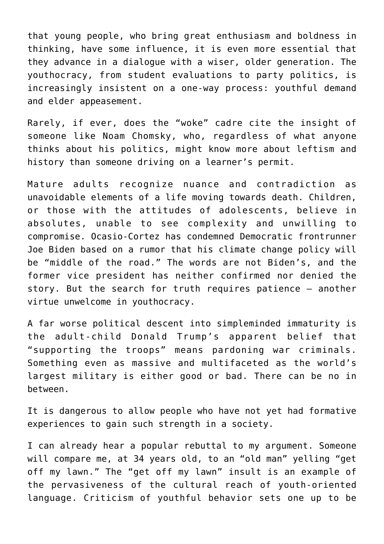that young people, who bring great enthusiasm and boldness in thinking, have some influence, it is even more essential that they advance in a dialogue with a wiser, older generation. The youthocracy, from student evaluations to party politics, is increasingly insistent on a one-way process: youthful demand and elder appeasement.

Rarely, if ever, does the "woke" cadre cite the insight of someone like Noam Chomsky, who, regardless of what anyone thinks about his politics, might know more about leftism and history than someone driving on a learner's permit.

Mature adults recognize nuance and contradiction as unavoidable elements of a life moving towards death. Children, or those with the attitudes of adolescents, believe in absolutes, unable to see complexity and unwilling to compromise. Ocasio-Cortez has condemned Democratic frontrunner Joe Biden based on a rumor that his climate change policy will be "middle of the road." The words are not Biden's, and the former vice president has neither confirmed nor denied the story. But the search for truth requires patience – another virtue unwelcome in youthocracy.

A far worse political descent into simpleminded immaturity is the adult-child Donald Trump's apparent belief that "supporting the troops" means pardoning war criminals. Something even as massive and multifaceted as the world's largest military is either good or bad. There can be no in between.

It is dangerous to allow people who have not yet had formative experiences to gain such strength in a society.

I can already hear a popular rebuttal to my argument. Someone will compare me, at 34 years old, to an "old man" yelling "get off my lawn." The "get off my lawn" insult is an example of the pervasiveness of the cultural reach of youth-oriented language. Criticism of youthful behavior sets one up to be